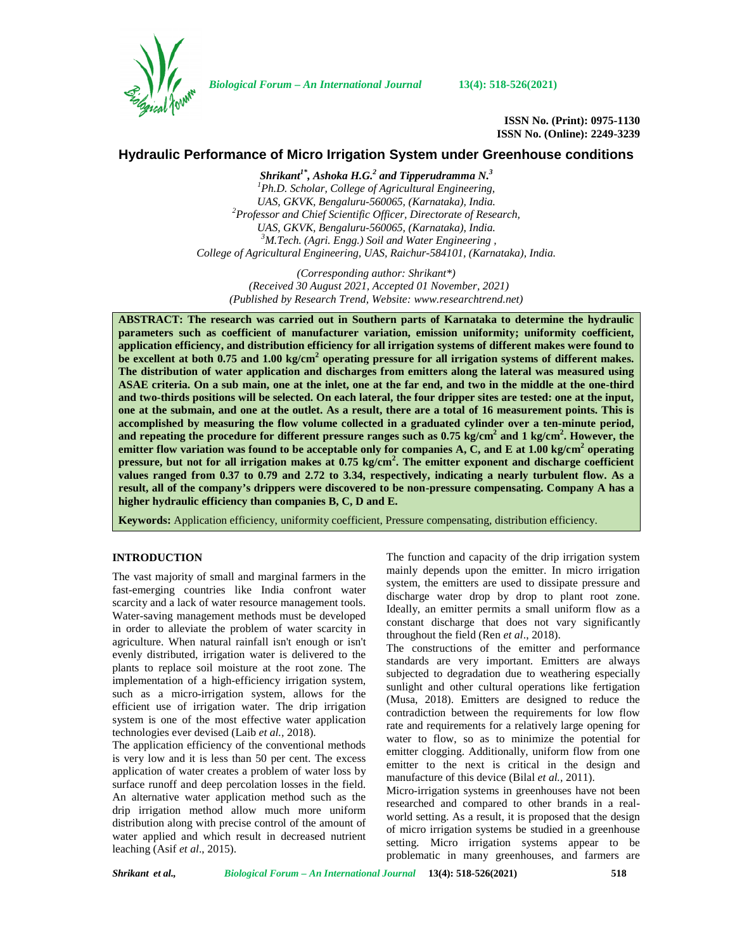

*Biological Forum – An International Journal* **13(4): 518-526(2021)**

**ISSN No. (Print): 0975-1130 ISSN No. (Online): 2249-3239**

# **Hydraulic Performance of Micro Irrigation System under Greenhouse conditions**

*Shrikant1\* , Ashoka H.G.<sup>2</sup> and Tipperudramma N.<sup>3</sup> <sup>1</sup>Ph.D. Scholar, College of Agricultural Engineering, UAS, GKVK, Bengaluru-560065, (Karnataka), India. <sup>2</sup>Professor and Chief Scientific Officer, Directorate of Research, UAS, GKVK, Bengaluru-560065, (Karnataka), India. <sup>3</sup>M.Tech. (Agri. Engg.) Soil and Water Engineering , College of Agricultural Engineering, UAS, Raichur-584101, (Karnataka), India.*

*(Corresponding author: Shrikant\*) (Received 30 August 2021, Accepted 01 November, 2021) (Published by Research Trend, Website: [www.researchtrend.net\)](www.researchtrend.net)*

**ABSTRACT: The research was carried out in Southern parts of Karnataka to determine the hydraulic parameters such as coefficient of manufacturer variation, emission uniformity; uniformity coefficient, application efficiency, and distribution efficiency for all irrigation systems of different makes were found to be excellent at both 0.75 and 1.00 kg/cm<sup>2</sup> operating pressure for all irrigation systems of different makes. The distribution of water application and discharges from emitters along the lateral was measured using ASAE criteria. On a sub main, one at the inlet, one at the far end, and two in the middle at the one-third and two-thirds positions will be selected. On each lateral, the four dripper sites are tested: one at the input, one at the submain, and one at the outlet. As a result, there are a total of 16 measurement points. This is accomplished by measuring the flow volume collected in a graduated cylinder over a ten-minute period, and repeating the procedure for different pressure ranges such as 0.75 kg/cm<sup>2</sup> and 1 kg/cm<sup>2</sup> . However, the emitter flow variation was found to be acceptable only for companies A, C, and E at 1.00 kg/cm<sup>2</sup> operating pressure, but not for all irrigation makes at 0.75 kg/cm<sup>2</sup> . The emitter exponent and discharge coefficient values ranged from 0.37 to 0.79 and 2.72 to 3.34, respectively, indicating a nearly turbulent flow. As a result, all of the company's drippers were discovered to be non-pressure compensating. Company A has a higher hydraulic efficiency than companies B, C, D and E.**

**Keywords:** Application efficiency, uniformity coefficient, Pressure compensating, distribution efficiency.

## **INTRODUCTION**

The vast majority of small and marginal farmers in the fast-emerging countries like India confront water scarcity and a lack of water resource management tools. Water-saving management methods must be developed in order to alleviate the problem of water scarcity in agriculture. When natural rainfall isn't enough or isn't evenly distributed, irrigation water is delivered to the plants to replace soil moisture at the root zone. The implementation of a high-efficiency irrigation system, such as a micro-irrigation system, allows for the efficient use of irrigation water. The drip irrigation system is one of the most effective water application technologies ever devised (Laib *et al.,* 2018).

The application efficiency of the conventional methods is very low and it is less than 50 per cent. The excess application of water creates a problem of water loss by surface runoff and deep percolation losses in the field. An alternative water application method such as the drip irrigation method allow much more uniform distribution along with precise control of the amount of water applied and which result in decreased nutrient leaching (Asif *et al*., 2015).

The function and capacity of the drip irrigation system mainly depends upon the emitter. In micro irrigation system, the emitters are used to dissipate pressure and discharge water drop by drop to plant root zone. Ideally, an emitter permits a small uniform flow as a constant discharge that does not vary significantly throughout the field (Ren *et al*., 2018).

The constructions of the emitter and performance standards are very important. Emitters are always subjected to degradation due to weathering especially sunlight and other cultural operations like fertigation (Musa, 2018). Emitters are designed to reduce the contradiction between the requirements for low flow rate and requirements for a relatively large opening for water to flow, so as to minimize the potential for emitter clogging. Additionally, uniform flow from one emitter to the next is critical in the design and manufacture of this device (Bilal *et al.,* 2011).

Micro-irrigation systems in greenhouses have not been researched and compared to other brands in a real world setting. As a result, it is proposed that the design of micro irrigation systems be studied in a greenhouse setting. Micro irrigation systems appear to be problematic in many greenhouses, and farmers are

*Shrikant et al., Biological Forum – An International Journal* **13(4): 518-526(2021) 518**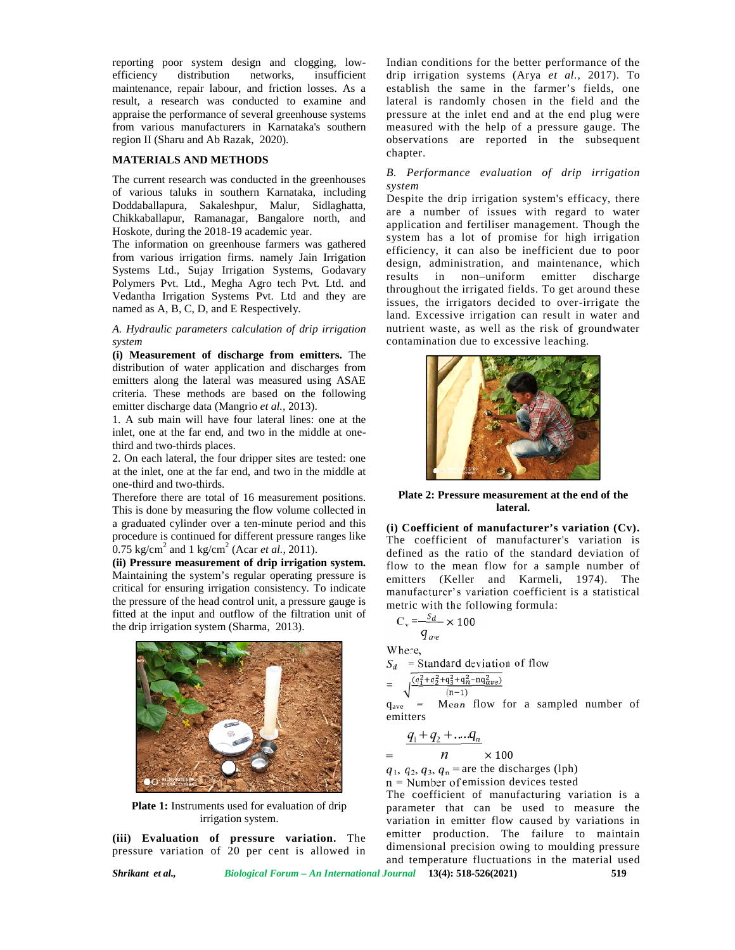reporting poor system design and clogging, low efficiency distribution networks, insufficient maintenance, repair labour, and friction losses. As a esta result, a research was conducted to examine and appraise the performance of several greenhouse systems from various manufacturers in Karnataka's southern region II (Sharu and Ab Razak, 2020). research was conducted<br>the performance of several g<br>ious manufacturers in Ka<br>(Sharu and Ab Razak, 2020)

#### **MATERIALS AND METHODS METHODS**

The current research was conducted in the greenhouses  $\frac{B}{2}$ of various taluks in southern Karnataka, including Doddaballapura, Sakaleshpur, Malur, Sidlaghatta, Chikkaballapur, Ramanagar, Bangalore north, and Hoskote, during the 2018-19 academic year.

The information on greenhouse farmers was gathered from various irrigation firms. namely Jain Irrigation Systems Ltd., Sujay Irrigation Systems, Godavary Polymers Pvt. Ltd., Megha Agro tech Pvt. Ltd. and Vedantha Irrigation Systems Pvt. Ltd and they are named as A, B, C, D, and E Respectively. of various taluks in southern Karnataka, including<br>Doddaballapura, Sakaleshpur, Malur, Sidlaghatta,<br>Chikkaballapur, Ramanagar, Bangalore north, and<br>Hoskote, during the 2018-19 academic year.<br>The information on greenhouse f

A. Hydraulic parameters calculation of drip irrigation nutri *system*

**(i) Measurement of discharge from emitters.** The **(i)**distribution of water application and discharges from emitters along the lateral was measured using ASAE criteria. These methods are based on the following emitter discharge data (Mangrio *et al.,* 2013).

1. A sub main will have four lateral lines: one at the inlet, one at the far end, and two in the middle at onethird and two-thirds places.

2. On each lateral, the four dripper sites are tested: one at the inlet, one at the far end, and two in the middle at one-third and two-thirds.

Therefore there are total of 16 measurement positions. This is done by measuring the flow volume collected in a graduated cylinder over a ten-minute period and this procedure is continued for different pressure ranges like  $0.75 \text{ kg/cm}^2$  and 1 kg/cm<sup>2</sup> (Acar *et al.*, 2011). eral was measured using AS<br>ds are based on the follow<br>(Mangrio *et al.*, 2013).<br>ave four lateral lines: one at<br>d, and two in the middle at c<br>aces.<br>four dripper sites are tested:<br>far end, and two in the middl<br>ls.<br>ls.<br>tal of

**(ii) Pressure measurement of drip irrigation system. system.**Maintaining the system's regular operating pressure is critical for ensuring irrigation consistency. To indicate the pressure of the head control unit, a pressure gauge is fitted at the input and outflow of the filtration unit of the drip irrigation system (Sharma, 2013).



**Plate 1:** Instruments used for evaluation of drip irrigation system.

(iii) **Evaluation of pressure variation.** The  $\frac{e^{i\pi}}{i\pi}$ pressure variation of 20 per cent is allowed in

Indian conditions for the better performance of the drip irrigation systems (Arya *et al.,* 2017). To establish the same in the farmer's fields, one lateral is randomly chosen in the field and the pressure at the inlet end and at the end plug were pressure at the inlet end and at the end plug were<br>measured with the help of a pressure gauge. The observations are reported in the subsequent chapter.

## *B. Performance evaluation of drip irrigation system*

Despite the drip irrigation system's efficacy, there are a number of issues with regard to water application and fertiliser management. Though the system has a lot of promise for high irrigation efficiency, it can also be inefficient due to poor design, administration, and maintenance, which results in non–uniform emitter discharge system has a lot of promise for high irrigation<br>efficiency, it can also be inefficient due to poor<br>design, administration, and maintenance, which<br>results in non-uniform emitter discharge<br>throughout the irrigated fields. To issues, the irrigators decided to over-irrigate the land. Excessive irrigation can result in water and nutrient waste, as well as the risk of groundwater contamination due to excessive leaching. and choosing, bow Indian conditions for the batter performance of the controlline in the controlline of the controlline and the controlline of the controlline of the controlline of the controlline of the controlline of th w-<br>
Indian conditions for the better performance of the<br>
ration and lateral is randomly choosen in the first<br>
and lateral is randomly choosen in the first<br>
and lateral is randomly chosen in the field and the<br>
measured wi issues, the irrigators decided to over-irrigate the<br>land. Excessive irrigation can result in water and<br>nutrient waste, as well as the risk of groundwater<br>contamination due to excessive leaching.



**Plate 2: Pressure measurement at the end of the thelateral.lateral.**

**(i) Coefficient of manufacturer's variation (Cv). variation**  The coefficient of manufacturer's variation is defined as the ratio of the standard deviation of flow to the mean flow for a sample number of emitters (Keller and Karmeli, 1974). The emitters manufacturer's variation coefficient is a statistical manufacturer's variation coefficient is<br>metric with the following formula:

$$
C_{\rm v} = \frac{s_d}{q_{\rm one}} \times 100
$$

Where,

= Standard deviation of flow =

$$
= \sqrt{\frac{(q_1^2+q_2^2+q_3^2+q_n^2-nq_{ave}^2)}{(n-1)}}
$$

 $q_{ave}$  = Mean flow for a sampled number of emitters

$$
q_1 + q_2 + \dots q_n
$$

 $=$   $n \times 100$  $\times$  100

 $1, q_2, q_3, q_n$  = are the discharges (lph)

 $n =$  Number of emission devices tested

The coefficient of manufacturing variation is a parameter that can be used to measure the variation in emitter flow caused by variations in emitter production. The failure to maintain dimensional precision owing to moulding pressure and temperature fluctuations in the material used hat can be used to<br>emitter flow caused by<br>duction. The failure<br>precision owing to moul<br>ure fluctuations in the

*Shrikant et al., Biological Forum – An International Journal* **13(4): 518-526(2021) 519**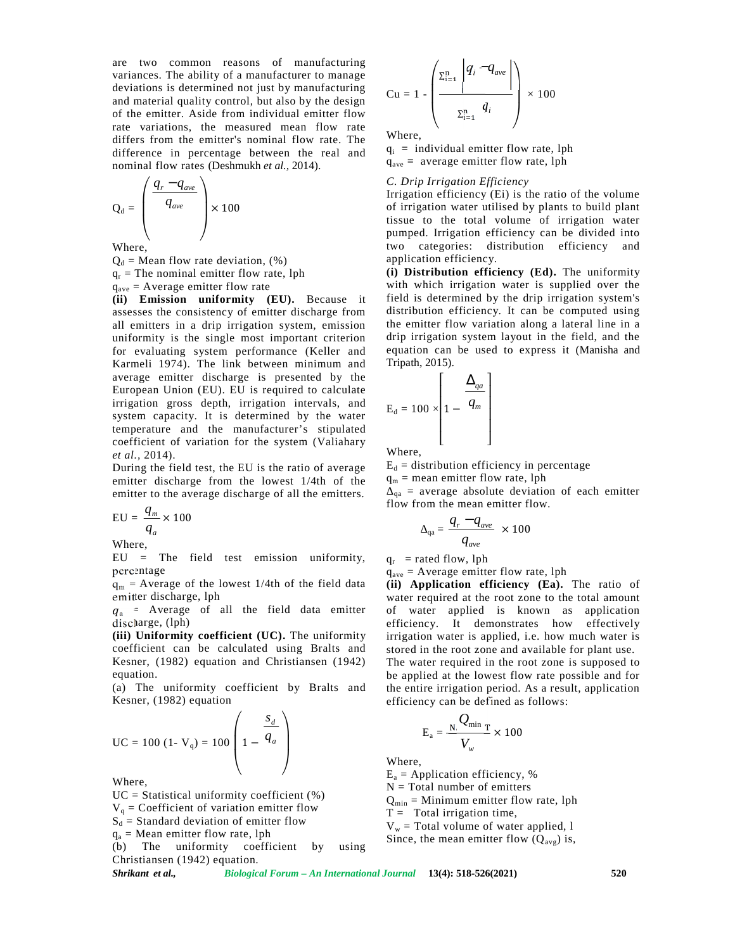are two common reasons of manufacturing variances. The ability of a manufacturer to manage deviations is determined not just by manufacturing and material quality control, but also by the design of the emitter. Aside from individual emitter flow rate variations, the measured mean flow rate differs from the emitter's nominal flow rate. The difference in percentage between the real and nominal flow rates (Deshmukh *et al.,* 2014).

$$
Q_{d} = \begin{pmatrix} \frac{q_{r} - q_{ave}}{q_{ave}} \\ q_{ave} \end{pmatrix} \times 100
$$

Where,

 $Q_d$  = Mean flow rate deviation,  $(\%)$ 

 $q_r$  = The nominal emitter flow rate, lph

 $q<sub>ave</sub>$  = Average emitter flow rate

**(ii) Emission uniformity (EU).** Because it assesses the consistency of emitter discharge from all emitters in a drip irrigation system, emission uniformity is the single most important criterion for evaluating system performance (Keller and Karmeli 1974). The link between minimum and average emitter discharge is presented by the European Union (EU). EU is required to calculate irrigation gross depth, irrigation intervals, and system capacity. It is determined by the water temperature and the manufacturer's stipulated coefficient of variation for the system (Valiahary *et al.,* 2014).

During the field test, the EU is the ratio of average emitter discharge from the lowest 1/4th of the emitter to the average discharge of all the emitters.

$$
EU = \frac{q_m}{q_a} \times 100
$$

Where,

EU = The field test emission uniformity, percentage

 $q_m$  = Average of the lowest 1/4th of the field data emitter discharge, lph

 $q_a$  = Average of all the field data emitter discharge, (lph)

**(iii) Uniformity coefficient (UC).** The uniformity coefficient can be calculated using Bralts and Kesner, (1982) equation and Christiansen (1942) equation.

(a) The uniformity coefficient by Bralts and Kesner, (1982) equation

$$
\text{UC} = 100 \text{ } (1 - \text{V}_q) = 100 \left( 1 - \frac{s_d}{q_a} \right) \qquad \qquad \text{E}_a = \text{Nhere},
$$
\n
$$
\text{W} = \text{R} \text{m} = \text{Lapplic}
$$

Where,

 $UC = Statistical$  uniformity coefficient  $(\%)$ 

 $V_q$  = Coefficient of variation emitter flow

 $S_d$  = Standard deviation of emitter flow

 $q_a$  = Mean emitter flow rate, lph

(b) The uniformity coefficient by using Christiansen (1942) equation.

$$
Cu = 1 - \left(\frac{\sum_{i=1}^{n} |q_i - q_{ave}}{\sum_{i=1}^{n} q_i}\right) \times 100
$$

Where,

q<sup>i</sup> **=** individual emitter flow rate, lph qave **=** average emitter flow rate, lph

*q* − *q C. Drip Irrigation Efficiency*

Irrigation efficiency (Ei) is the ratio of the volume of irrigation water utilised by plants to build plant tissue to the total volume of irrigation water pumped. Irrigation efficiency can be divided into two categories: distribution efficiency and application efficiency.

**(i) Distribution efficiency (Ed).** The uniformity with which irrigation water is supplied over the field is determined by the drip irrigation system's distribution efficiency. It can be computed using the emitter flow variation along a lateral line in a drip irrigation system layout in the field, and the equation can be used to express it (Manisha and Tripath, 2015).

$$
E_d = 100 \times \left[1 - \frac{\Delta_{qa}}{q_m}\right]
$$

Where,

 $E_d$  = distribution efficiency in percentage

 $q_m$  = mean emitter flow rate, lph

 $_{qa}$  = average absolute deviation of each emitter flow from the mean emitter flow.

$$
_{\rm qa}=\frac{q_{r}-q_{\rm ave}}{q_{\rm ave}}~\times 100
$$

 $q_r$  = rated flow, lph

 $q_{\text{ave}}$  = Average emitter flow rate, lph

**(ii) Application efficiency (Ea).** The ratio of water required at the root zone to the total amount of water applied is known as application efficiency. It demonstrates how effectively irrigation water is applied, i.e. how much water is stored in the root zone and available for plant use. The water required in the root zone is supposed to be applied at the lowest flow rate possible and for the entire irrigation period. As a result, application efficiency can be defined as follows:

$$
\left(\frac{S_d}{q_a}\right) \qquad \qquad E_a = \frac{N}{V_w} \times 100
$$

Where,

 $E_a$  = Application efficiency, %

 $N = Total number of emitters$ 

 $Q_{min}$  = Minimum emitter flow rate, lph

 $T =$  Total irrigation time,

 $V_w$  = Total volume of water applied, 1

Since, the mean emitter flow  $(Q_{\text{avg}})$  is,

*Shrikant et al., Biological Forum – An International Journal* **13(4): 518-526(2021) 520**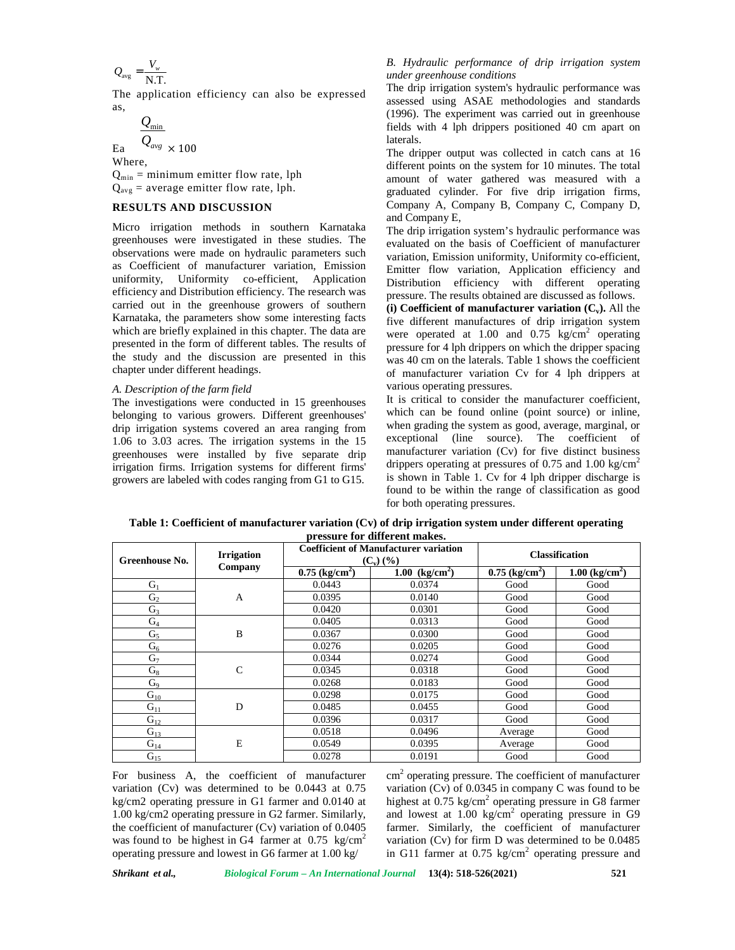$$
Q_{\text{avg}} = \frac{V_{w}}{N.T.}
$$

The application efficiency can also be expressed as,

$$
\frac{Q_{\min}}{O}
$$

 $\frac{\mathcal{Q}_{\rm min}}{\mathcal{Q}_{\rm avg}} \times 100$  $\mathcal{L}_{avg}$  × 100 Where,

 $Q_{\min}$  = minimum emitter flow rate, lph  $Q_{avg}$  = average emitter flow rate, lph.

## **RESULTS AND DISCUSSION**

Micro irrigation methods in southern Karnataka greenhouses were investigated in these studies. The observations were made on hydraulic parameters such as Coefficient of manufacturer variation, Emission uniformity, Uniformity co-efficient, Application efficiency and Distribution efficiency. The research was carried out in the greenhouse growers of southern Karnataka, the parameters show some interesting facts which are briefly explained in this chapter. The data are presented in the form of different tables. The results of the study and the discussion are presented in this chapter under different headings.

#### *A. Description of the farm field*

The investigations were conducted in 15 greenhouses belonging to various growers. Different greenhouses' drip irrigation systems covered an area ranging from 1.06 to 3.03 acres. The irrigation systems in the 15 greenhouses were installed by five separate drip irrigation firms. Irrigation systems for different firms' growers are labeled with codes ranging from G1 to G15.

#### *B. Hydraulic performance of drip irrigation system under greenhouse conditions*

The drip irrigation system's hydraulic performance was assessed using ASAE methodologies and standards (1996). The experiment was carried out in greenhouse fields with 4 lph drippers positioned 40 cm apart on laterals.

The dripper output was collected in catch cans at 16 different points on the system for 10 minutes. The total amount of water gathered was measured with a graduated cylinder. For five drip irrigation firms, Company A, Company B, Company C, Company D, and Company E,

The drip irrigation system's hydraulic performance was evaluated on the basis of Coefficient of manufacturer variation, Emission uniformity, Uniformity co-efficient, Emitter flow variation, Application efficiency and Distribution efficiency with different operating pressure. The results obtained are discussed as follows. **(i) Coefficient of manufacturer variation (Cv).** All the five different manufactures of drip irrigation system were operated at 1.00 and 0.75 kg/cm<sup>2</sup> operating pressure for 4 lph drippers on which the dripper spacing was 40 cm on the laterals. Table 1 shows the coefficient of manufacturer variation Cv for 4 lph drippers at various operating pressures.

It is critical to consider the manufacturer coefficient, which can be found online (point source) or inline. when grading the system as good, average, marginal, or exceptional (line source). The coefficient of manufacturer variation (Cv) for five distinct business drippers operating at pressures of 0.75 and 1.00 kg/cm<sup>2</sup> is shown in Table 1. Cv for 4 lph dripper discharge is found to be within the range of classification as good for both operating pressures.

| pressure for uniterent makes.<br><b>Coefficient of Manufacturer variation</b> |                   |                              |                         |                              |                              |  |
|-------------------------------------------------------------------------------|-------------------|------------------------------|-------------------------|------------------------------|------------------------------|--|
| Greenhouse No.                                                                | <b>Irrigation</b> |                              | $(C_v)$ $(\frac{9}{6})$ |                              | <b>Classification</b>        |  |
|                                                                               | Company           | $0.75$ (kg/cm <sup>2</sup> ) | 1.00 $(kg/cm^2)$        | $0.75$ (kg/cm <sup>2</sup> ) | $1.00$ (kg/cm <sup>2</sup> ) |  |
| $G_1$                                                                         |                   | 0.0443                       | 0.0374                  | Good                         | Good                         |  |
| G <sub>2</sub>                                                                | $\mathbf{A}$      | 0.0395                       | 0.0140                  | Good                         | Good                         |  |
| $G_3$                                                                         |                   | 0.0420                       | 0.0301                  | Good                         | Good                         |  |
| $G_4$                                                                         |                   | 0.0405                       | 0.0313                  | Good                         | Good                         |  |
| $G_5$                                                                         | B                 | 0.0367                       | 0.0300                  | Good                         | Good                         |  |
| $G_6$                                                                         |                   | 0.0276                       | 0.0205                  | Good                         | Good                         |  |
| $G_7$                                                                         |                   | 0.0344                       | 0.0274                  | Good                         | Good                         |  |
| $G_8$                                                                         | $\mathcal{C}$     | 0.0345                       | 0.0318                  | Good                         | Good                         |  |
| G <sub>9</sub>                                                                |                   | 0.0268                       | 0.0183                  | Good                         | Good                         |  |
| $G_{10}$                                                                      |                   | 0.0298                       | 0.0175                  | Good                         | Good                         |  |
| $G_{11}$                                                                      | D                 | 0.0485                       | 0.0455                  | Good                         | Good                         |  |
| $G_{12}$                                                                      |                   | 0.0396                       | 0.0317                  | Good                         | Good                         |  |
| $G_{13}$                                                                      |                   | 0.0518                       | 0.0496                  | Average                      | Good                         |  |
| $G_{14}$                                                                      | E                 | 0.0549                       | 0.0395                  | Average                      | Good                         |  |
| $G_{15}$                                                                      |                   | 0.0278                       | 0.0191                  | Good                         | Good                         |  |

**Table 1: Coefficient of manufacturer variation (Cv) of drip irrigation system under different operating pressure for different makes.**

For business A, the coefficient of manufacturer variation (Cv) was determined to be 0.0443 at 0.75 kg/cm2 operating pressure in G1 farmer and 0.0140 at 1.00 kg/cm2 operating pressure in G2 farmer. Similarly, the coefficient of manufacturer (Cv) variation of 0.0405 was found to be highest in G4 farmer at  $0.75 \text{ kg/cm}^2$ operating pressure and lowest in G6 farmer at 1.00 kg/

 $\text{cm}^2$  operating pressure. The coefficient of manufacturer variation (Cv) of 0.0345 in company C was found to be highest at  $0.75 \text{ kg/cm}^2$  operating pressure in G8 farmer and lowest at  $1.00 \text{ kg/cm}^2$  operating pressure in G9 farmer. Similarly, the coefficient of manufacturer variation (Cv) for firm D was determined to be 0.0485 in G11 farmer at  $0.75 \text{ kg/cm}^2$  operating pressure and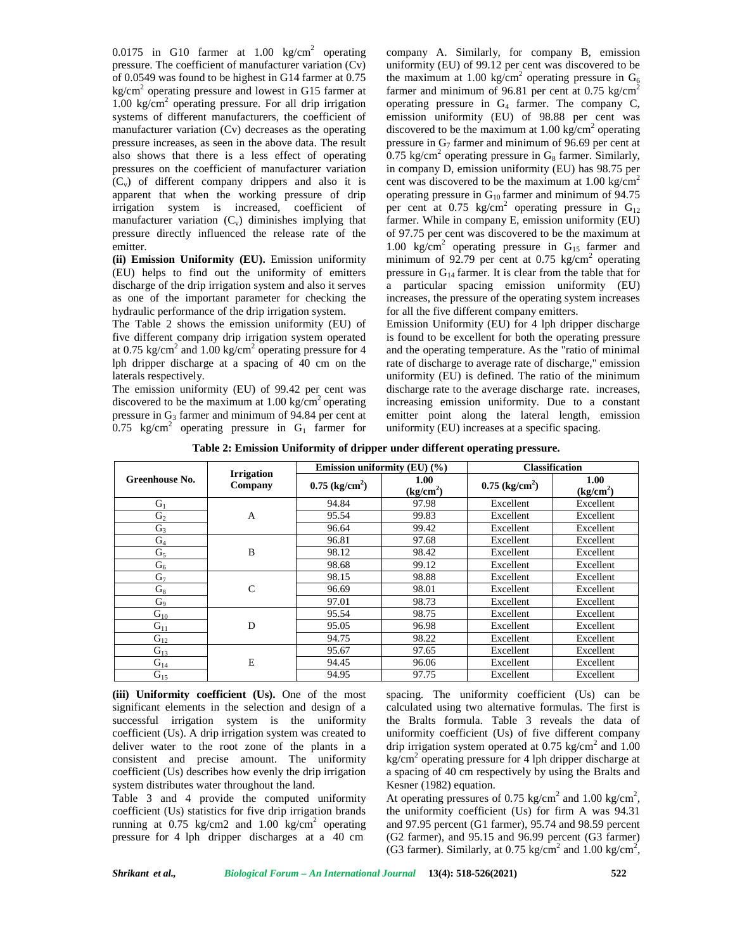0.0175 in G10 farmer at  $1.00 \text{ kg/cm}^2$  operating pressure. The coefficient of manufacturer variation (Cv) of 0.0549 was found to be highest in G14 farmer at 0.75  $kg/cm<sup>2</sup>$  operating pressure and lowest in G15 farmer at 1.00 kg/cm<sup>2</sup> operating pressure. For all drip irrigation systems of different manufacturers, the coefficient of manufacturer variation (Cv) decreases as the operating pressure increases, as seen in the above data. The result also shows that there is a less effect of operating pressures on the coefficient of manufacturer variation  $(C_v)$  of different company drippers and also it is apparent that when the working pressure of drip irrigation system is increased, coefficient of manufacturer variation  $(C_v)$  diminishes implying that pressure directly influenced the release rate of the emitter.

**(ii) Emission Uniformity (EU).** Emission uniformity (EU) helps to find out the uniformity of emitters discharge of the drip irrigation system and also it serves a as one of the important parameter for checking the hydraulic performance of the drip irrigation system.

The Table 2 shows the emission uniformity (EU) of five different company drip irrigation system operated at 0.75 kg/cm<sup>2</sup> and 1.00 kg/cm<sup>2</sup> operating pressure for 4 lph dripper discharge at a spacing of 40 cm on the laterals respectively.

The emission uniformity (EU) of 99.42 per cent was discovered to be the maximum at  $1.00 \text{ kg/cm}^2$  operating pressure in  $G_3$  farmer and minimum of 94.84 per cent at 0.75 kg/cm<sup>2</sup> operating pressure in  $G_1$  farmer for company A. Similarly, for company B, emission uniformity (EU) of 99.12 per cent was discovered to be the maximum at 1.00 kg/cm<sup>2</sup> operating pressure in  $G_6$ farmer and minimum of 96.81 per cent at  $0.75 \text{ kg/cm}^2$ operating pressure in  $G_4$  farmer. The company C, emission uniformity (EU) of 98.88 per cent was discovered to be the maximum at  $1.00 \text{ kg/cm}^2$  operating pressure in  $G_7$  farmer and minimum of 96.69 per cent at 0.75 kg/cm<sup>2</sup> operating pressure in  $G_8$  farmer. Similarly, in company D, emission uniformity (EU) has 98.75 per cent was discovered to be the maximum at  $1.00 \text{ kg/cm}^2$ operating pressure in  $G_{10}$  farmer and minimum of 94.75 per cent at 0.75 kg/cm<sup>2</sup> operating pressure in  $G_{12}$ farmer. While in company E, emission uniformity (EU) of 97.75 per cent was discovered to be the maximum at 1.00 kg/cm<sup>2</sup> operating pressure in  $G_{15}$  farmer and minimum of 92.79 per cent at 0.75 kg/cm<sup>2</sup> operating pressure in  $G_{14}$  farmer. It is clear from the table that for a particular spacing emission uniformity (EU) increases, the pressure of the operating system increases for all the five different company emitters.

Emission Uniformity (EU) for 4 lph dripper discharge is found to be excellent for both the operating pressure and the operating temperature. As the "ratio of minimal rate of discharge to average rate of discharge," emission uniformity (EU) is defined. The ratio of the minimum discharge rate to the average discharge rate. increases, increasing emission uniformity. Due to a constant emitter point along the lateral length, emission uniformity (EU) increases at a specific spacing.

**Table 2: Emission Uniformity of dripper under different operating pressure.**

|                |                              | Emission uniformity (EU) (%) |                               | <b>Classification</b>        |                               |
|----------------|------------------------------|------------------------------|-------------------------------|------------------------------|-------------------------------|
| Greenhouse No. | <b>Irrigation</b><br>Company | $0.75$ (kg/cm <sup>2</sup> ) | 1.00<br>(kg/cm <sup>2</sup> ) | $0.75$ (kg/cm <sup>2</sup> ) | 1.00<br>(kg/cm <sup>2</sup> ) |
| $G_1$          |                              | 94.84                        | 97.98                         | Excellent                    | Excellent                     |
| G <sub>2</sub> | $\mathbf{A}$                 | 95.54                        | 99.83                         | Excellent                    | Excellent                     |
| $G_3$          |                              | 96.64                        | 99.42                         | Excellent                    | Excellent                     |
| $G_4$          |                              | 96.81                        | 97.68                         | Excellent                    | Excellent                     |
| $G_5$          | B                            | 98.12                        | 98.42                         | Excellent                    | Excellent                     |
| $G_6$          |                              | 98.68                        | 99.12                         | Excellent                    | Excellent                     |
| G <sub>7</sub> |                              | 98.15                        | 98.88                         | Excellent                    | Excellent                     |
| $G_8$          | $\mathcal{C}$                | 96.69                        | 98.01                         | Excellent                    | Excellent                     |
| G <sub>9</sub> |                              | 97.01                        | 98.73                         | Excellent                    | Excellent                     |
| $G_{10}$       |                              | 95.54                        | 98.75                         | Excellent                    | Excellent                     |
| $G_{11}$       | D                            | 95.05                        | 96.98                         | Excellent                    | Excellent                     |
| $G_{12}$       |                              | 94.75                        | 98.22                         | Excellent                    | Excellent                     |
| $G_{13}$       | E                            | 95.67                        | 97.65                         | Excellent                    | Excellent                     |
| $G_{14}$       |                              | 94.45                        | 96.06                         | Excellent                    | Excellent                     |
| $G_{15}$       |                              | 94.95                        | 97.75                         | Excellent                    | Excellent                     |

**(iii) Uniformity coefficient (Us).** One of the most significant elements in the selection and design of a successful irrigation system is the uniformity coefficient (Us). A drip irrigation system was created to deliver water to the root zone of the plants in a consistent and precise amount. The uniformity coefficient (Us) describes how evenly the drip irrigation system distributes water throughout the land.

Table 3 and 4 provide the computed uniformity coefficient (Us) statistics for five drip irrigation brands running at  $0.75 \text{ kg/cm2}$  and  $1.00 \text{ kg/cm}^2$  operating pressure for 4 lph dripper discharges at a 40 cm

spacing. The uniformity coefficient (Us) can be calculated using two alternative formulas. The first is the Bralts formula. Table 3 reveals the data of uniformity coefficient (Us) of five different company drip irrigation system operated at  $0.75 \text{ kg/cm}^2$  and  $1.00$  $kg/cm<sup>2</sup>$  operating pressure for 4 lph dripper discharge at a spacing of 40 cm respectively by using the Bralts and Kesner (1982) equation.

At operating pressures of 0.75 kg/cm<sup>2</sup> and 1.00 kg/cm<sup>2</sup>, the uniformity coefficient (Us) for firm A was 94.31 and 97.95 percent (G1 farmer), 95.74 and 98.59 percent (G2 farmer), and 95.15 and 96.99 percent (G3 farmer) (G3 farmer). Similarly, at 0.75 kg/cm<sup>2</sup> and 1.00 kg/cm<sup>2</sup>,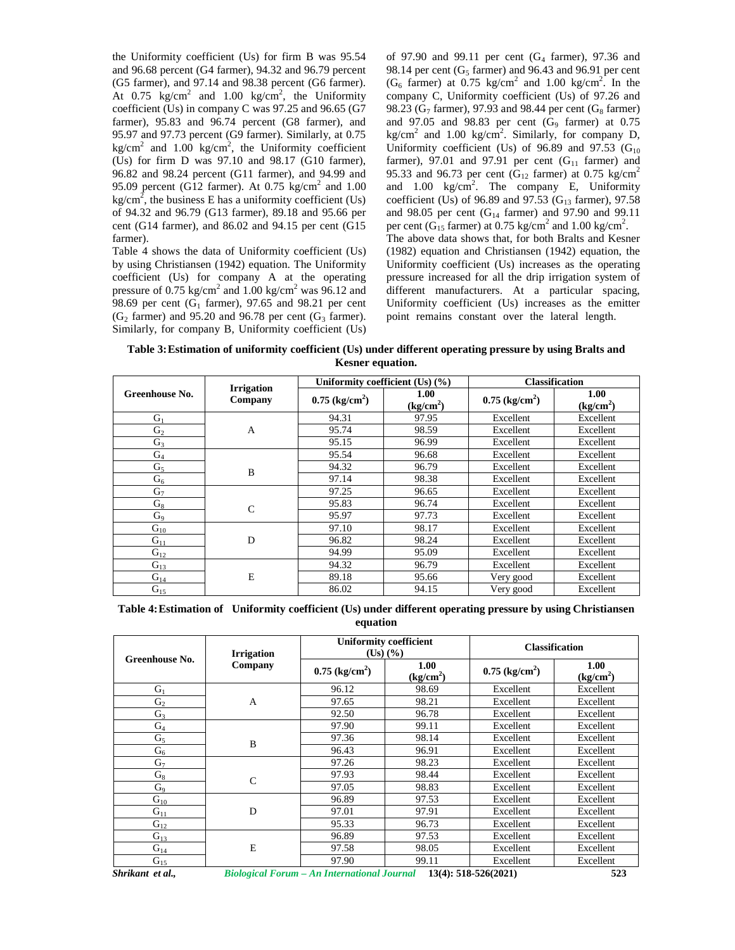the Uniformity coefficient (Us) for firm B was 95.54 and 96.68 percent (G4 farmer), 94.32 and 96.79 percent (G5 farmer), and 97.14 and 98.38 percent (G6 farmer). At 0.75 kg/cm<sup>2</sup> and 1.00 kg/cm<sup>2</sup>, the Uniformity comp coefficient (Us) in company C was 97.25 and 96.65 (G7 farmer), 95.83 and 96.74 percent (G8 farmer), and 95.97 and 97.73 percent (G9 farmer). Similarly, at 0.75 kg/cm<sup>2</sup> and 1.00 kg/cm<sup>2</sup>, the Uniformity coefficient U (Us) for firm D was 97.10 and 98.17 (G10 farmer), 96.82 and 98.24 percent (G11 farmer), and 94.99 and 95.09 percent (G12 farmer). At  $0.75 \text{ kg/cm}^2$  and  $1.00$ kg/cm<sup>2</sup>, the business E has a uniformity coefficient (Us) comof 94.32 and 96.79 (G13 farmer), 89.18 and 95.66 per cent (G14 farmer), and 86.02 and 94.15 per cent (G15 farmer).

Table 4 shows the data of Uniformity coefficient (Us) by using Christiansen (1942) equation. The Uniformity coefficient (Us) for company A at the operating pressure of 0.75 kg/cm<sup>2</sup> and 1.00 kg/cm<sup>2</sup> was 96.12 and 98.69 per cent (G<sub>1</sub> farmer), 97.65 and 98.21 per cent  $(G<sub>2</sub> farmer)$  and 95.20 and 96.78 per cent  $(G<sub>3</sub> farmer)$ . Similarly, for company B, Uniformity coefficient (Us) of 97.90 and 99.11 per cent  $(G<sub>4</sub> farmer)$ , 97.36 and 98.14 per cent ( $G<sub>5</sub>$  farmer) and 96.43 and 96.91 per cent  $(G<sub>6</sub> farmer)$  at 0.75 kg/cm<sup>2</sup> and 1.00 kg/cm<sup>2</sup>. In the company C, Uniformity coefficient (Us) of 97.26 and 98.23 ( $G_7$  farmer), 97.93 and 98.44 per cent ( $G_8$  farmer) and 97.05 and 98.83 per cent  $(G_9)$  farmer) at 0.75  $kg/cm<sup>2</sup>$  and 1.00 kg/cm<sup>2</sup>. Similarly, for company D, Uniformity coefficient (Us) of 96.89 and 97.53 ( $G_{10}$ ) farmer), 97.01 and 97.91 per cent  $(G_{11}$  farmer) and 95.33 and 96.73 per cent (G<sub>12</sub> farmer) at 0.75 kg/cm<sup>2</sup> and  $1.00 \text{ kg/cm}^2$ . The company E, Uniformity coefficient (Us) of 96.89 and 97.53 ( $G_{13}$  farmer), 97.58 and 98.05 per cent ( $G_{14}$  farmer) and 97.90 and 99.11 per cent ( $\hat{G}_{15}$  farmer) at 0.75 kg/cm<sup>2</sup> and 1.00 kg/cm<sup>2</sup>. The above data shows that, for both Bralts and Kesner (1982) equation and Christiansen (1942) equation, the Uniformity coefficient (Us) increases as the operating pressure increased for all the drip irrigation system of different manufacturers. At a particular spacing, Uniformity coefficient (Us) increases as the emitter point remains constant over the lateral length.

**Table 3:Estimation of uniformity coefficient (Us) under different operating pressure by using Bralts and Kesner equation.**

|                |                              | Uniformity coefficient $(Us)$ $(\% )$ |                               | <b>Classification</b>        |                               |
|----------------|------------------------------|---------------------------------------|-------------------------------|------------------------------|-------------------------------|
| Greenhouse No. | <b>Irrigation</b><br>Company |                                       | 1.00<br>(kg/cm <sup>2</sup> ) | $0.75$ (kg/cm <sup>2</sup> ) | 1.00<br>(kg/cm <sup>2</sup> ) |
| $G_1$          |                              | 94.31                                 | 97.95                         | Excellent                    | Excellent                     |
| G <sub>2</sub> | A                            | 95.74                                 | 98.59                         | Excellent                    | Excellent                     |
| $G_3$          |                              | 95.15                                 | 96.99                         | Excellent                    | Excellent                     |
| $G_4$          |                              | 95.54                                 | 96.68                         | Excellent                    | Excellent                     |
| G <sub>5</sub> | B                            | 94.32                                 | 96.79                         | Excellent                    | Excellent                     |
| G <sub>6</sub> |                              | 97.14                                 | 98.38                         | Excellent                    | Excellent                     |
| G <sub>7</sub> |                              | 97.25                                 | 96.65                         | Excellent                    | Excellent                     |
| $G_8$          | $\mathsf{C}$                 | 95.83                                 | 96.74                         | Excellent                    | Excellent                     |
| G <sub>9</sub> |                              | 95.97                                 | 97.73                         | Excellent                    | Excellent                     |
| $G_{10}$       |                              | 97.10                                 | 98.17                         | Excellent                    | Excellent                     |
| $G_{11}$       | D                            | 96.82                                 | 98.24                         | Excellent                    | Excellent                     |
| $G_{12}$       |                              | 94.99                                 | 95.09                         | Excellent                    | Excellent                     |
| $G_{13}$       |                              | 94.32                                 | 96.79                         | Excellent                    | Excellent                     |
| $G_{14}$       | E                            | 89.18                                 | 95.66                         | Very good                    | Excellent                     |
| $G_{15}$       |                              | 86.02                                 | 94.15                         | Very good                    | Excellent                     |

**Table 4:Estimation of Uniformity coefficient (Us) under different operating pressure by using Christiansen equation**

| Greenhouse No. | <b>Irrigation</b> | <b>Uniformity coefficient</b><br>$(Us)$ $(\frac{9}{6})$ |                               | <b>Classification</b>        |                               |
|----------------|-------------------|---------------------------------------------------------|-------------------------------|------------------------------|-------------------------------|
|                | Company           | $0.75$ (kg/cm <sup>2</sup> )                            | 1.00<br>(kg/cm <sup>2</sup> ) | $0.75$ (kg/cm <sup>2</sup> ) | 1.00<br>(kg/cm <sup>2</sup> ) |
| $G_1$          |                   | 96.12                                                   | 98.69                         | Excellent                    | Excellent                     |
| G <sub>2</sub> | A                 | 97.65                                                   | 98.21                         | Excellent                    | Excellent                     |
| $G_3$          |                   | 92.50                                                   | 96.78                         | Excellent                    | Excellent                     |
| $\mathbf{G}_4$ |                   | 97.90                                                   | 99.11                         | Excellent                    | Excellent                     |
| $G_5$          | B                 | 97.36                                                   | 98.14                         | Excellent                    | Excellent                     |
| $G_6$          |                   | 96.43                                                   | 96.91                         | Excellent                    | Excellent                     |
| $G_7$          |                   | 97.26                                                   | 98.23                         | Excellent                    | Excellent                     |
| $G_8$          | $\mathcal{C}$     | 97.93                                                   | 98.44                         | Excellent                    | Excellent                     |
| G <sub>9</sub> |                   | 97.05                                                   | 98.83                         | Excellent                    | Excellent                     |
| $G_{10}$       |                   | 96.89                                                   | 97.53                         | Excellent                    | Excellent                     |
| $G_{11}$       | D                 | 97.01                                                   | 97.91                         | Excellent                    | Excellent                     |
| $G_{12}$       |                   | 95.33                                                   | 96.73                         | Excellent                    | Excellent                     |
| $G_{13}$       |                   | 96.89                                                   | 97.53                         | Excellent                    | Excellent                     |
| $G_{14}$       | E                 | 97.58                                                   | 98.05                         | Excellent                    | Excellent                     |
| $G_{15}$       |                   | 97.90                                                   | 99.11                         | Excellent                    | Excellent                     |

*Shrikant et al., Biological Forum – An International Journal* **13(4): 518-526(2021) 523**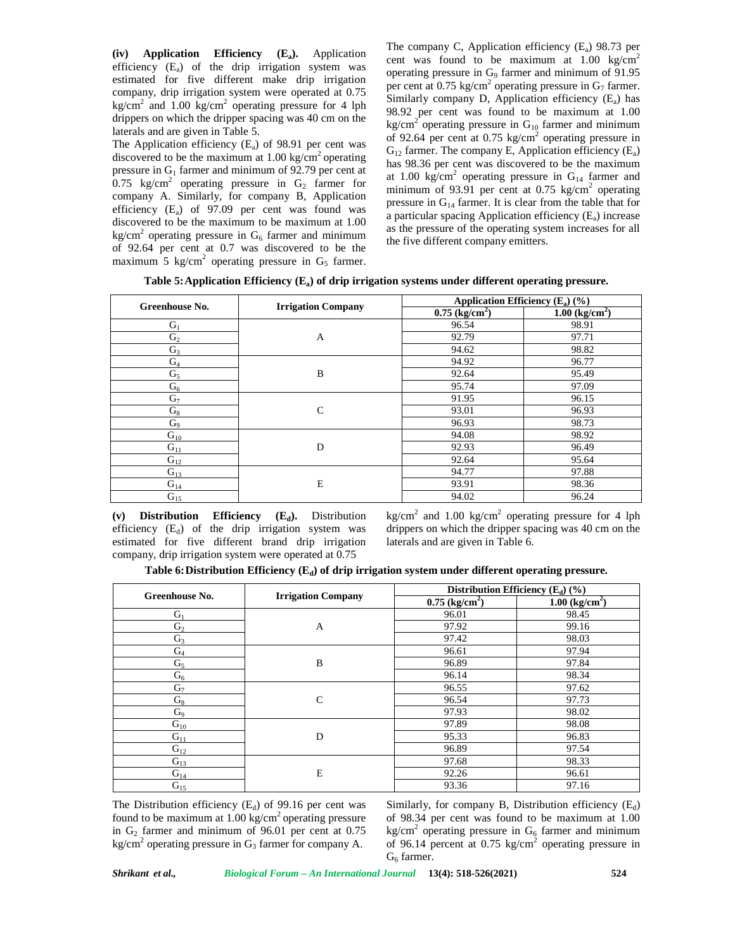**(iv) Application Efficiency (Ea).** Application efficiency  $(E_a)$  of the drip irrigation system was estimated for five different make drip irrigation company, drip irrigation system were operated at 0.75 kg/cm<sup>2</sup> and 1.00 kg/cm<sup>2</sup> operating pressure for 4 lph drippers on which the dripper spacing was 40 cm on the laterals and are given in Table 5.

The Application efficiency  $(E_a)$  of 98.91 per cent was discovered to be the maximum at  $1.00 \text{ kg/cm}^2$  operating pressure in  $G_1$  farmer and minimum of 92.79 per cent at 0.75 kg/cm<sup>2</sup> operating pressure in  $G_2$  farmer for company A. Similarly, for company B, Application efficiency  $(E_a)$  of 97.09 per cent was found was discovered to be the maximum to be maximum at 1.00 kg/cm<sup>2</sup> operating pressure in  $G_6$  farmer and minimum of 92.64 per cent at 0.7 was discovered to be the maximum 5 kg/cm<sup>2</sup> operating pressure in  $G_5$  farmer. The company C, Application efficiency  $(E_a)$  98.73 per cent was found to be maximum at  $1.00 \text{ kg/cm}^2$ operating pressure in  $G<sub>9</sub>$  farmer and minimum of 91.95 per cent at 0.75 kg/cm<sup>2</sup> operating pressure in  $G_7$  farmer. Similarly company D, Application efficiency  $(E_a)$  has 98.92 per cent was found to be maximum at 1.00 kg/cm<sup>2</sup> operating pressure in  $G_{10}$  farmer and minimum of 92.64 per cent at  $0.75 \text{ kg/cm}^2$  operating pressure in  $G_{12}$  farmer. The company E, Application efficiency  $(E_a)$ has 98.36 per cent was discovered to be the maximum at 1.00 kg/cm<sup>2</sup> operating pressure in  $G_{14}$  farmer and minimum of 93.91 per cent at 0.75 kg/cm<sup>2</sup> operating pressure in  $G_{14}$  farmer. It is clear from the table that for a particular spacing Application efficiency  $(E_a)$  increase as the pressure of the operating system increases for all the five different company emitters.

|  |  |  | Table 5: Application Efficiency $(E_a)$ of drip irrigation systems under different operating pressure. |
|--|--|--|--------------------------------------------------------------------------------------------------------|
|--|--|--|--------------------------------------------------------------------------------------------------------|

| Greenhouse No. | <b>Irrigation Company</b> | Application Efficiency $(E_a)$ (%) |                              |  |
|----------------|---------------------------|------------------------------------|------------------------------|--|
|                |                           | $0.75$ (kg/cm <sup>2</sup> )       | $1.00$ (kg/cm <sup>2</sup> ) |  |
| $G_1$          |                           | 96.54                              | 98.91                        |  |
| G <sub>2</sub> | A                         | 92.79                              | 97.71                        |  |
| $G_3$          |                           | 94.62                              | 98.82                        |  |
| $\mathrm{G}_4$ |                           | 94.92                              | 96.77                        |  |
| $G_5$          | B                         | 92.64                              | 95.49                        |  |
| $G_6$          |                           | 95.74                              | 97.09                        |  |
| $G_7$          |                           | 91.95                              | 96.15                        |  |
| $G_8$          | C                         | 93.01                              | 96.93                        |  |
| $G_9$          |                           | 96.93                              | 98.73                        |  |
| $G_{10}$       |                           | 94.08                              | 98.92                        |  |
| $G_{11}$       | D                         | 92.93                              | 96.49                        |  |
| $G_{12}$       |                           | 92.64                              | 95.64                        |  |
| $G_{13}$       |                           | 94.77                              | 97.88                        |  |
| $G_{14}$       | E                         | 93.91                              | 98.36                        |  |
| $G_{15}$       |                           | 94.02                              | 96.24                        |  |

**(v) Distribution Efficiency (Ed).** Distribution efficiency  $(E_d)$  of the drip irrigation system was estimated for five different brand drip irrigation company, drip irrigation system were operated at 0.75

kg/cm<sup>2</sup> and 1.00 kg/cm<sup>2</sup> operating pressure for 4 lph drippers on which the dripper spacing was 40 cm on the laterals and are given in Table 6.

**Table 6:Distribution Efficiency (Ed) of drip irrigation system under different operating pressure.**

|                |                           |                              | Distribution Efficiency $(E_d)$ (%) |
|----------------|---------------------------|------------------------------|-------------------------------------|
| Greenhouse No. | <b>Irrigation Company</b> | $0.75$ (kg/cm <sup>2</sup> ) | $1.00$ (kg/cm <sup>2</sup> )        |
| $G_1$          |                           | 96.01                        | 98.45                               |
| G <sub>2</sub> | A                         | 97.92                        | 99.16                               |
| $G_3$          |                           | 97.42                        | 98.03                               |
| $G_4$          |                           | 96.61                        | 97.94                               |
| $G_5$          | B                         | 96.89                        | 97.84                               |
| $G_6$          |                           | 96.14                        | 98.34                               |
| G <sub>7</sub> |                           | 96.55                        | 97.62                               |
| $G_8$          | $\mathcal{C}$             | 96.54                        | 97.73                               |
| G <sub>9</sub> |                           | 97.93                        | 98.02                               |
| $G_{10}$       |                           | 97.89                        | 98.08                               |
| $G_{11}$       | D                         | 95.33                        | 96.83                               |
| $G_{12}$       |                           | 96.89                        | 97.54                               |
| $G_{13}$       |                           | 97.68                        | 98.33                               |
| $G_{14}$       | Ε                         | 92.26                        | 96.61                               |
| $G_{15}$       |                           | 93.36                        | 97.16                               |

The Distribution efficiency  $(E_d)$  of 99.16 per cent was found to be maximum at  $1.00 \text{ kg/cm}^2$  operating pressure in  $G_2$  farmer and minimum of 96.01 per cent at 0.75 kg/cm<sup>2</sup> operating pressure in  $G_3$  farmer for company A.

Similarly, for company B, Distribution efficiency  $(E_d)$ of 98.34 per cent was found to be maximum at 1.00 kg/cm<sup>2</sup> operating pressure in  $G_6$  farmer and minimum of 96.14 percent at 0.75 kg/cm<sup>2</sup> operating pressure in  $G_6$  farmer.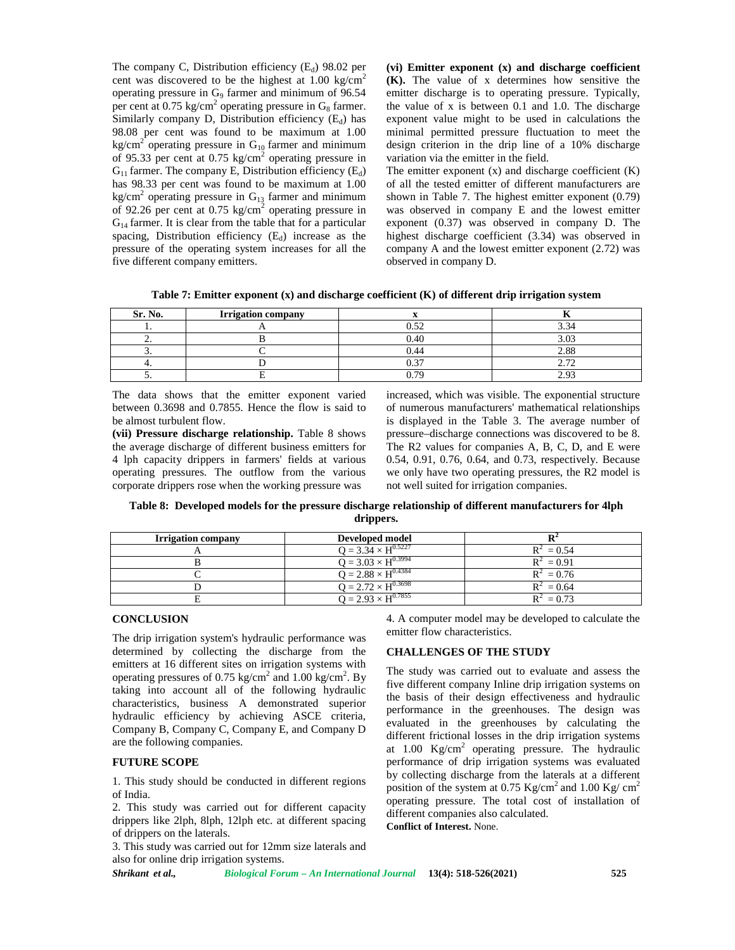The company C, Distribution efficiency  $(E_d)$  98.02 per cent was discovered to be the highest at  $1.00 \text{ kg/cm}^2$ operating pressure in G<sub>9</sub> farmer and minimum of 96.54 per cent at  $0.75 \text{ kg/cm}^2$  operating pressure in  $G_8$  farmer. Similarly company D, Distribution efficiency  $(E_d)$  has 98.08 per cent was found to be maximum at 1.00 kg/cm<sup>2</sup> operating pressure in  $G_{10}$  farmer and minimum of 95.33 per cent at 0.75 kg/cm<sup>2</sup> operating pressure in  $G_{11}$  farmer. The company E, Distribution efficiency (E<sub>d</sub>) has 98.33 per cent was found to be maximum at 1.00 kg/cm<sup>2</sup> operating pressure in  $G_{13}$  farmer and minimum of 92.26 per cent at  $0.75 \text{ kg/cm}^2$  operating pressure in  $G_{14}$  farmer. It is clear from the table that for a particular spacing, Distribution efficiency  $(E_d)$  increase as the pressure of the operating system increases for all the five different company emitters.

**(vi) Emitter exponent (x) and discharge coefficient (K).** The value of x determines how sensitive the emitter discharge is to operating pressure. Typically, the value of x is between 0.1 and 1.0. The discharge exponent value might to be used in calculations the minimal permitted pressure fluctuation to meet the design criterion in the drip line of a 10% discharge variation via the emitter in the field.

The emitter exponent  $(x)$  and discharge coefficient  $(K)$ of all the tested emitter of different manufacturers are shown in Table 7. The highest emitter exponent (0.79) was observed in company E and the lowest emitter exponent (0.37) was observed in company D. The highest discharge coefficient (3.34) was observed in company A and the lowest emitter exponent (2.72) was observed in company D.

**Table 7: Emitter exponent (x) and discharge coefficient (K) of different drip irrigation system**

| Sr. No.  | <b>Irrigation company</b> |        |                         |
|----------|---------------------------|--------|-------------------------|
|          |                           | ስ ዳኅ   | $\sim$                  |
| <u>.</u> |                           | 0.40   | 2.02                    |
| <u>.</u> |                           | 0.44   | 2.88                    |
|          |                           | $\sim$ | $\overline{ }$<br>، ، ، |
|          |                           | ገ 70   | າ ດາ                    |

The data shows that the emitter exponent varied between 0.3698 and 0.7855. Hence the flow is said to be almost turbulent flow.

**(vii) Pressure discharge relationship.** Table 8 shows the average discharge of different business emitters for 4 lph capacity drippers in farmers' fields at various operating pressures. The outflow from the various corporate drippers rose when the working pressure was

increased, which was visible. The exponential structure of numerous manufacturers' mathematical relationships is displayed in the Table 3. The average number of pressure–discharge connections was discovered to be 8. The R2 values for companies A, B, C, D, and E were 0.54, 0.91, 0.76, 0.64, and 0.73, respectively. Because we only have two operating pressures, the R2 model is not well suited for irrigation companies.

**Table 8: Developed models for the pressure discharge relationship of different manufacturers for 4lph drippers.**

| <b>Irrigation company</b> | Developed model              |              |
|---------------------------|------------------------------|--------------|
|                           | $Q = 3.34 \times H^{0.5227}$ | $R^2 = 0.54$ |
|                           | $Q = 3.03 \times H^{0.3994}$ | $R^2 = 0.91$ |
|                           | $Q = 2.88 \times H^{0.4384}$ | $R^2 = 0.76$ |
|                           | $Q = 2.72 \times H^{0.3698}$ | $R^2 = 0.64$ |
|                           | $Q = 2.93 \times H^{0.7855}$ | $R^2 = 0.73$ |

#### **CONCLUSION**

The drip irrigation system's hydraulic performance was determined by collecting the discharge from the emitters at 16 different sites on irrigation systems with operating pressures of 0.75 kg/cm<sup>2</sup> and 1.00 kg/cm<sup>2</sup>. By taking into account all of the following hydraulic characteristics, business A demonstrated superior hydraulic efficiency by achieving ASCE criteria, Company B, Company C, Company E, and Company D are the following companies.

## **FUTURE SCOPE**

1. This study should be conducted in different regions of India.

2. This study was carried out for different capacity drippers like 2lph, 8lph, 12lph etc. at different spacing of drippers on the laterals.

3. This study was carried out for 12mm size laterals and also for online drip irrigation systems.

*Shrikant et al., Biological Forum – An International Journal* **13(4): 518-526(2021) 525**

4. A computer model may be developed to calculate the emitter flow characteristics.

## **CHALLENGES OF THE STUDY**

The study was carried out to evaluate and assess the five different company Inline drip irrigation systems on the basis of their design effectiveness and hydraulic performance in the greenhouses. The design was evaluated in the greenhouses by calculating the different frictional losses in the drip irrigation systems at  $1.00 \text{Kg/cm}^2$  operating pressure. The hydraulic performance of drip irrigation systems was evaluated by collecting discharge from the laterals at a different position of the system at 0.75 Kg/cm<sup>2</sup> and 1.00 Kg/ cm<sup>2</sup> operating pressure. The total cost of installation of different companies also calculated. **Conflict of Interest.** None.